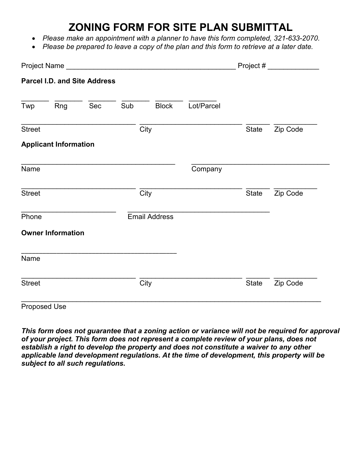## **ZONING FORM FOR SITE PLAN SUBMITTAL**

- *Please make an appointment with a planner to have this form completed, 321-633-2070.*
- *Please be prepared to leave a copy of the plan and this form to retrieve at a later date.*

|               |                              |                                     |     |              | Project #  |              |          |
|---------------|------------------------------|-------------------------------------|-----|--------------|------------|--------------|----------|
|               |                              | <b>Parcel I.D. and Site Address</b> |     |              |            |              |          |
| Twp           | Rng                          | Sec                                 | Sub | <b>Block</b> | Lot/Parcel |              |          |
| <b>Street</b> |                              |                                     |     | City         |            | <b>State</b> | Zip Code |
|               | <b>Applicant Information</b> |                                     |     |              |            |              |          |
| Name          |                              |                                     |     |              | Company    |              |          |
| <b>Street</b> |                              |                                     |     | City         |            | <b>State</b> | Zip Code |
| Phone         | <b>Email Address</b>         |                                     |     |              |            |              |          |
|               | <b>Owner Information</b>     |                                     |     |              |            |              |          |
| Name          |                              |                                     |     |              |            |              |          |
| <b>Street</b> |                              |                                     |     | City         |            | <b>State</b> | Zip Code |
| Proposed Use  |                              |                                     |     |              |            |              |          |

*This form does not guarantee that a zoning action or variance will not be required for approval of your project. This form does not represent a complete review of your plans, does not establish a right to develop the property and does not constitute a waiver to any other applicable land development regulations. At the time of development, this property will be subject to all such regulations.*